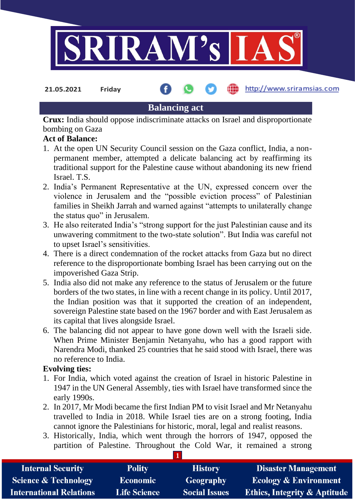

**21.05.2021 Friday**

http://www.sriramsias.com

# **Balancing act**

**Crux:** India should oppose indiscriminate attacks on Israel and disproportionate bombing on Gaza

# **Act of Balance:**

- 1. At the open UN Security Council session on the Gaza conflict, India, a nonpermanent member, attempted a delicate balancing act by reaffirming its traditional support for the Palestine cause without abandoning its new friend Israel. T.S.
- 2. India's Permanent Representative at the UN, expressed concern over the violence in Jerusalem and the "possible eviction process" of Palestinian families in Sheikh Jarrah and warned against "attempts to unilaterally change the status quo" in Jerusalem.
- 3. He also reiterated India's "strong support for the just Palestinian cause and its unwavering commitment to the two-state solution". But India was careful not to upset Israel's sensitivities.
- 4. There is a direct condemnation of the rocket attacks from Gaza but no direct reference to the disproportionate bombing Israel has been carrying out on the impoverished Gaza Strip.
- 5. India also did not make any reference to the status of Jerusalem or the future borders of the two states, in line with a recent change in its policy. Until 2017, the Indian position was that it supported the creation of an independent, sovereign Palestine state based on the 1967 border and with East Jerusalem as its capital that lives alongside Israel.
- 6. The balancing did not appear to have gone down well with the Israeli side. When Prime Minister Benjamin Netanyahu, who has a good rapport with Narendra Modi, thanked 25 countries that he said stood with Israel, there was no reference to India.

# **Evolving ties:**

- 1. For India, which voted against the creation of Israel in historic Palestine in 1947 in the UN General Assembly, ties with Israel have transformed since the early 1990s.
- 2. In 2017, Mr Modi became the first Indian PM to visit Israel and Mr Netanyahu travelled to India in 2018. While Israel ties are on a strong footing, India cannot ignore the Palestinians for historic, moral, legal and realist reasons.
- 3. Historically, India, which went through the horrors of 1947, opposed the partition of Palestine. Throughout the Cold War, it remained a strong

| <b>Internal Security</b>        | <b>Polity</b>       | <b>History</b>       | <b>Disaster Management</b>              |
|---------------------------------|---------------------|----------------------|-----------------------------------------|
| <b>Science &amp; Technology</b> | <b>Economic</b>     | <b>Geography</b>     | <b>Ecology &amp; Environment</b>        |
| International Relations         | <b>Life Science</b> | <b>Social Issues</b> | <b>Ethics, Integrity &amp; Aptitude</b> |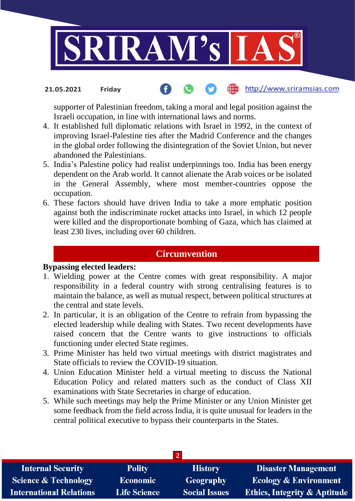

#### the http://www.sriramsias.com **21.05.2021 Friday**

supporter of Palestinian freedom, taking a moral and legal position against the Israeli occupation, in line with international laws and norms.

- 4. It established full diplomatic relations with Israel in 1992, in the context of improving Israel-Palestine ties after the Madrid Conference and the changes in the global order following the disintegration of the Soviet Union, but never abandoned the Palestinians.
- 5. India's Palestine policy had realist underpinnings too. India has been energy dependent on the Arab world. It cannot alienate the Arab voices or be isolated in the General Assembly, where most member-countries oppose the occupation.
- 6. These factors should have driven India to take a more emphatic position against both the indiscriminate rocket attacks into Israel, in which 12 people were killed and the disproportionate bombing of Gaza, which has claimed at least 230 lives, including over 60 children.

## **Circumvention**

#### **Bypassing elected leaders:**

- 1. Wielding power at the Centre comes with great responsibility. A major responsibility in a federal country with strong centralising features is to maintain the balance, as well as mutual respect, between political structures at the central and state levels.
- 2. In particular, it is an obligation of the Centre to refrain from bypassing the elected leadership while dealing with States. Two recent developments have raised concern that the Centre wants to give instructions to officials functioning under elected State regimes.
- 3. Prime Minister has held two virtual meetings with district magistrates and State officials to review the COVID-19 situation.
- 4. Union Education Minister held a virtual meeting to discuss the National Education Policy and related matters such as the conduct of Class XII examinations with State Secretaries in charge of education.
- 5. While such meetings may help the Prime Minister or any Union Minister get some feedback from the field across India, it is quite unusual for leaders in the central political executive to bypass their counterparts in the States.

| <b>Internal Security</b>        | <b>Polity</b>       | <b>History</b>       | <b>Disaster Management</b>              |
|---------------------------------|---------------------|----------------------|-----------------------------------------|
| <b>Science &amp; Technology</b> | <b>Economic</b>     | Geography            | <b>Ecology &amp; Environment</b>        |
| <b>International Relations</b>  | <b>Life Science</b> | <b>Social Issues</b> | <b>Ethics, Integrity &amp; Aptitude</b> |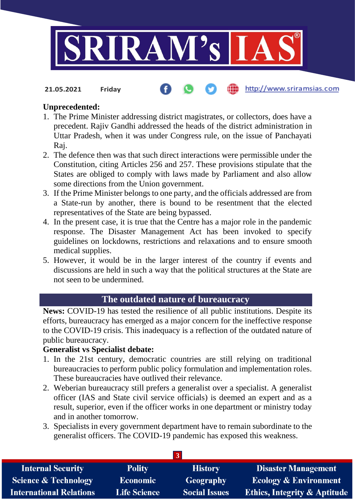

**21.05.2021 Friday**

### http://www.sriramsias.com

## **Unprecedented:**

- 1. The Prime Minister addressing district magistrates, or collectors, does have a precedent. Rajiv Gandhi addressed the heads of the district administration in Uttar Pradesh, when it was under Congress rule, on the issue of Panchayati Raj.
- 2. The defence then was that such direct interactions were permissible under the Constitution, citing Articles 256 and 257. These provisions stipulate that the States are obliged to comply with laws made by Parliament and also allow some directions from the Union government.
- 3. If the Prime Minister belongs to one party, and the officials addressed are from a State-run by another, there is bound to be resentment that the elected representatives of the State are being bypassed.
- 4. In the present case, it is true that the Centre has a major role in the pandemic response. The Disaster Management Act has been invoked to specify guidelines on lockdowns, restrictions and relaxations and to ensure smooth medical supplies.
- 5. However, it would be in the larger interest of the country if events and discussions are held in such a way that the political structures at the State are not seen to be undermined.

# **The outdated nature of bureaucracy**

**News:** COVID-19 has tested the resilience of all public institutions. Despite its efforts, bureaucracy has emerged as a major concern for the ineffective response to the COVID-19 crisis. This inadequacy is a reflection of the outdated nature of public bureaucracy.

### **Generalist vs Specialist debate:**

- 1. In the 21st century, democratic countries are still relying on traditional bureaucracies to perform public policy formulation and implementation roles. These bureaucracies have outlived their relevance.
- 2. Weberian bureaucracy still prefers a generalist over a specialist. A generalist officer (IAS and State civil service officials) is deemed an expert and as a result, superior, even if the officer works in one department or ministry today and in another tomorrow.
- 3. Specialists in every government department have to remain subordinate to the generalist officers. The COVID-19 pandemic has exposed this weakness.

| <b>Internal Security</b>        | <b>Polity</b>       | <b>History</b>       | <b>Disaster Management</b>              |
|---------------------------------|---------------------|----------------------|-----------------------------------------|
| <b>Science &amp; Technology</b> | <b>Economic</b>     | Geography            | <b>Ecology &amp; Environment</b>        |
| <b>International Relations</b>  | <b>Life Science</b> | <b>Social Issues</b> | <b>Ethics, Integrity &amp; Aptitude</b> |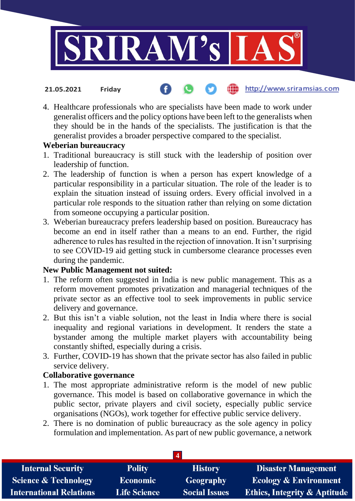

#### http://www.sriramsias.com **21.05.2021 Friday**

4. Healthcare professionals who are specialists have been made to work under generalist officers and the policy options have been left to the generalists when they should be in the hands of the specialists. The justification is that the generalist provides a broader perspective compared to the specialist.

### **Weberian bureaucracy**

- 1. Traditional bureaucracy is still stuck with the leadership of position over leadership of function.
- 2. The leadership of function is when a person has expert knowledge of a particular responsibility in a particular situation. The role of the leader is to explain the situation instead of issuing orders. Every official involved in a particular role responds to the situation rather than relying on some dictation from someone occupying a particular position.
- 3. Weberian bureaucracy prefers leadership based on position. Bureaucracy has become an end in itself rather than a means to an end. Further, the rigid adherence to rules has resulted in the rejection of innovation. It isn't surprising to see COVID-19 aid getting stuck in cumbersome clearance processes even during the pandemic.

# **New Public Management not suited:**

- 1. The reform often suggested in India is new public management. This as a reform movement promotes privatization and managerial techniques of the private sector as an effective tool to seek improvements in public service delivery and governance.
- 2. But this isn't a viable solution, not the least in India where there is social inequality and regional variations in development. It renders the state a bystander among the multiple market players with accountability being constantly shifted, especially during a crisis.
- 3. Further, COVID-19 has shown that the private sector has also failed in public service delivery.

### **Collaborative governance**

- 1. The most appropriate administrative reform is the model of new public governance. This model is based on collaborative governance in which the public sector, private players and civil society, especially public service organisations (NGOs), work together for effective public service delivery.
- 2. There is no domination of public bureaucracy as the sole agency in policy formulation and implementation. As part of new public governance, a network

| <b>Internal Security</b>        | <b>Polity</b>       | <b>History</b>       | <b>Disaster Management</b>              |
|---------------------------------|---------------------|----------------------|-----------------------------------------|
| <b>Science &amp; Technology</b> | <b>Economic</b>     | Geography            | <b>Ecology &amp; Environment</b>        |
| International Relations         | <b>Life Science</b> | <b>Social Issues</b> | <b>Ethics, Integrity &amp; Aptitude</b> |